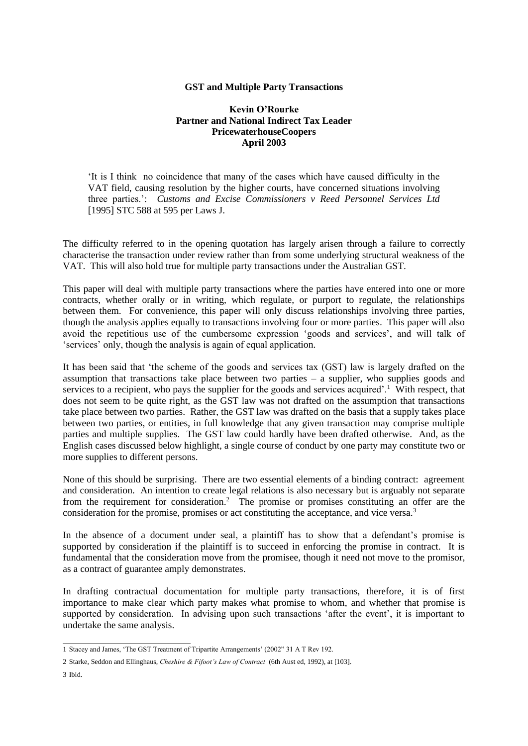## **GST and Multiple Party Transactions**

#### **Kevin O'Rourke Partner and National Indirect Tax Leader PricewaterhouseCoopers April 2003**

'It is I think no coincidence that many of the cases which have caused difficulty in the VAT field, causing resolution by the higher courts, have concerned situations involving three parties.': *Customs and Excise Commissioners v Reed Personnel Services Ltd* [1995] STC 588 at 595 per Laws J.

The difficulty referred to in the opening quotation has largely arisen through a failure to correctly characterise the transaction under review rather than from some underlying structural weakness of the VAT. This will also hold true for multiple party transactions under the Australian GST.

This paper will deal with multiple party transactions where the parties have entered into one or more contracts, whether orally or in writing, which regulate, or purport to regulate, the relationships between them. For convenience, this paper will only discuss relationships involving three parties, though the analysis applies equally to transactions involving four or more parties. This paper will also avoid the repetitious use of the cumbersome expression 'goods and services', and will talk of 'services' only, though the analysis is again of equal application.

It has been said that 'the scheme of the goods and services tax (GST) law is largely drafted on the assumption that transactions take place between two parties  $-$  a supplier, who supplies goods and services to a recipient, who pays the supplier for the goods and services acquired'.<sup>1</sup> With respect, that does not seem to be quite right, as the GST law was not drafted on the assumption that transactions take place between two parties. Rather, the GST law was drafted on the basis that a supply takes place between two parties, or entities, in full knowledge that any given transaction may comprise multiple parties and multiple supplies. The GST law could hardly have been drafted otherwise. And, as the English cases discussed below highlight, a single course of conduct by one party may constitute two or more supplies to different persons.

None of this should be surprising. There are two essential elements of a binding contract: agreement and consideration. An intention to create legal relations is also necessary but is arguably not separate from the requirement for consideration.<sup>2</sup> The promise or promises constituting an offer are the consideration for the promise, promises or act constituting the acceptance, and vice versa.<sup>3</sup>

In the absence of a document under seal, a plaintiff has to show that a defendant's promise is supported by consideration if the plaintiff is to succeed in enforcing the promise in contract. It is fundamental that the consideration move from the promisee, though it need not move to the promisor, as a contract of guarantee amply demonstrates.

In drafting contractual documentation for multiple party transactions, therefore, it is of first importance to make clear which party makes what promise to whom, and whether that promise is supported by consideration. In advising upon such transactions 'after the event', it is important to undertake the same analysis.

<sup>1</sup> Stacey and James, 'The GST Treatment of Tripartite Arrangements' (2002" 31 A T Rev 192.

<sup>2</sup> Starke, Seddon and Ellinghaus, *Cheshire & Fifoot's Law of Contract* (6th Aust ed, 1992), at [103].

<sup>3</sup> Ibid.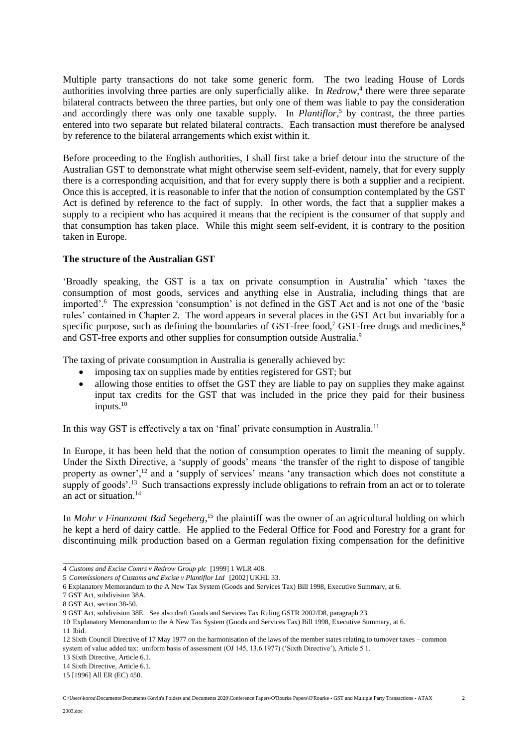Multiple party transactions do not take some generic form. The two leading House of Lords authorities involving three parties are only superficially alike. In *Redrow*, 4 there were three separate bilateral contracts between the three parties, but only one of them was liable to pay the consideration and accordingly there was only one taxable supply. In *Plantiflor*, <sup>5</sup> by contrast, the three parties entered into two separate but related bilateral contracts. Each transaction must therefore be analysed by reference to the bilateral arrangements which exist within it.

Before proceeding to the English authorities, I shall first take a brief detour into the structure of the Australian GST to demonstrate what might otherwise seem self-evident, namely, that for every supply there is a corresponding acquisition, and that for every supply there is both a supplier and a recipient. Once this is accepted, it is reasonable to infer that the notion of consumption contemplated by the GST Act is defined by reference to the fact of supply. In other words, the fact that a supplier makes a supply to a recipient who has acquired it means that the recipient is the consumer of that supply and that consumption has taken place. While this might seem self-evident, it is contrary to the position taken in Europe.

## **The structure of the Australian GST**

'Broadly speaking, the GST is a tax on private consumption in Australia' which 'taxes the consumption of most goods, services and anything else in Australia, including things that are imported'.<sup>6</sup> The expression 'consumption' is not defined in the GST Act and is not one of the 'basic rules' contained in Chapter 2. The word appears in several places in the GST Act but invariably for a specific purpose, such as defining the boundaries of GST-free food,<sup>7</sup> GST-free drugs and medicines, $8$ and GST-free exports and other supplies for consumption outside Australia.<sup>9</sup>

The taxing of private consumption in Australia is generally achieved by:

- imposing tax on supplies made by entities registered for GST; but
- allowing those entities to offset the GST they are liable to pay on supplies they make against input tax credits for the GST that was included in the price they paid for their business inputs. $10$

In this way GST is effectively a tax on 'final' private consumption in Australia.<sup>11</sup>

In Europe, it has been held that the notion of consumption operates to limit the meaning of supply. Under the Sixth Directive, a 'supply of goods' means 'the transfer of the right to dispose of tangible property as owner',<sup>12</sup> and a 'supply of services' means 'any transaction which does not constitute a supply of goods'.<sup>13</sup> Such transactions expressly include obligations to refrain from an act or to tolerate an act or situation<sup>14</sup>

In *Mohr v Finanzamt Bad Segeberg*, <sup>15</sup> the plaintiff was the owner of an agricultural holding on which he kept a herd of dairy cattle. He applied to the Federal Office for Food and Forestry for a grant for discontinuing milk production based on a German regulation fixing compensation for the definitive

<sup>4</sup> *Customs and Excise Comrs v Redrow Group plc* [1999] 1 WLR 408.

<sup>5</sup> *Commissioners of Customs and Excise v Plantiflor Ltd* [2002] UKHL 33.

<sup>6</sup> Explanatory Memorandum to the A New Tax System (Goods and Services Tax) Bill 1998, Executive Summary, at 6.

<sup>7</sup> GST Act, subdivision 38A.

<sup>8</sup> GST Act, section 38-50.

<sup>9</sup> GST Act, subdivision 38E. See also draft Goods and Services Tax Ruling GSTR 2002/D8, paragraph 23.

<sup>10</sup> Explanatory Memorandum to the A New Tax System (Goods and Services Tax) Bill 1998, Executive Summary, at 6.

<sup>11</sup> Ibid.

<sup>12</sup> Sixth Council Directive of 17 May 1977 on the harmonisation of the laws of the member states relating to turnover taxes – common system of value added tax: uniform basis of assessment (OJ 145, 13.6.1977) ('Sixth Directive'), Article 5.1.

<sup>13</sup> Sixth Directive, Article 6.1.

<sup>14</sup> Sixth Directive, Article 6.1.

<sup>15</sup> [1996] All ER (EC) 450.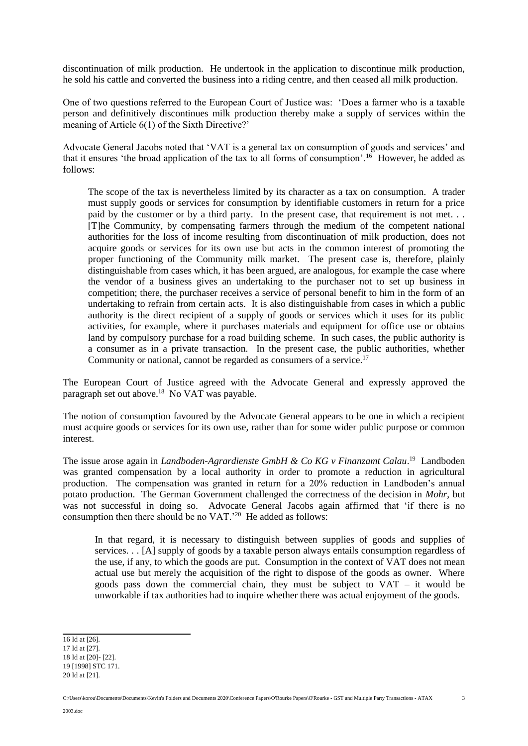discontinuation of milk production. He undertook in the application to discontinue milk production, he sold his cattle and converted the business into a riding centre, and then ceased all milk production.

One of two questions referred to the European Court of Justice was: 'Does a farmer who is a taxable person and definitively discontinues milk production thereby make a supply of services within the meaning of Article 6(1) of the Sixth Directive?'

Advocate General Jacobs noted that 'VAT is a general tax on consumption of goods and services' and that it ensures 'the broad application of the tax to all forms of consumption'.<sup>16</sup> However, he added as follows:

The scope of the tax is nevertheless limited by its character as a tax on consumption. A trader must supply goods or services for consumption by identifiable customers in return for a price paid by the customer or by a third party. In the present case, that requirement is not met. . . [T]he Community, by compensating farmers through the medium of the competent national authorities for the loss of income resulting from discontinuation of milk production, does not acquire goods or services for its own use but acts in the common interest of promoting the proper functioning of the Community milk market. The present case is, therefore, plainly distinguishable from cases which, it has been argued, are analogous, for example the case where the vendor of a business gives an undertaking to the purchaser not to set up business in competition; there, the purchaser receives a service of personal benefit to him in the form of an undertaking to refrain from certain acts. It is also distinguishable from cases in which a public authority is the direct recipient of a supply of goods or services which it uses for its public activities, for example, where it purchases materials and equipment for office use or obtains land by compulsory purchase for a road building scheme. In such cases, the public authority is a consumer as in a private transaction. In the present case, the public authorities, whether Community or national, cannot be regarded as consumers of a service.<sup>17</sup>

The European Court of Justice agreed with the Advocate General and expressly approved the paragraph set out above.<sup>18</sup> No VAT was payable.

The notion of consumption favoured by the Advocate General appears to be one in which a recipient must acquire goods or services for its own use, rather than for some wider public purpose or common interest.

The issue arose again in *Landboden-Agrardienste GmbH & Co KG v Finanzamt Calau*.<sup>19</sup> Landboden was granted compensation by a local authority in order to promote a reduction in agricultural production. The compensation was granted in return for a 20% reduction in Landboden's annual potato production. The German Government challenged the correctness of the decision in *Mohr*, but was not successful in doing so. Advocate General Jacobs again affirmed that 'if there is no consumption then there should be no  $VAT.^{20}$  He added as follows:

In that regard, it is necessary to distinguish between supplies of goods and supplies of services. . . [A] supply of goods by a taxable person always entails consumption regardless of the use, if any, to which the goods are put. Consumption in the context of VAT does not mean actual use but merely the acquisition of the right to dispose of the goods as owner. Where goods pass down the commercial chain, they must be subject to  $VAT - it$  would be unworkable if tax authorities had to inquire whether there was actual enjoyment of the goods.

C:\Users\korou\Documents\Documents\Kevin's Folders and Documents 2020\Conference Papers\O'Rourke Papers\O'Rourke - GST and Multiple Party Transactions - ATAX

<sup>16</sup> Id at [26].

<sup>17</sup> Id at [27].

<sup>18</sup> Id at [20]- [22]. 19 [1998] STC 171.

<sup>20</sup> Id at [21].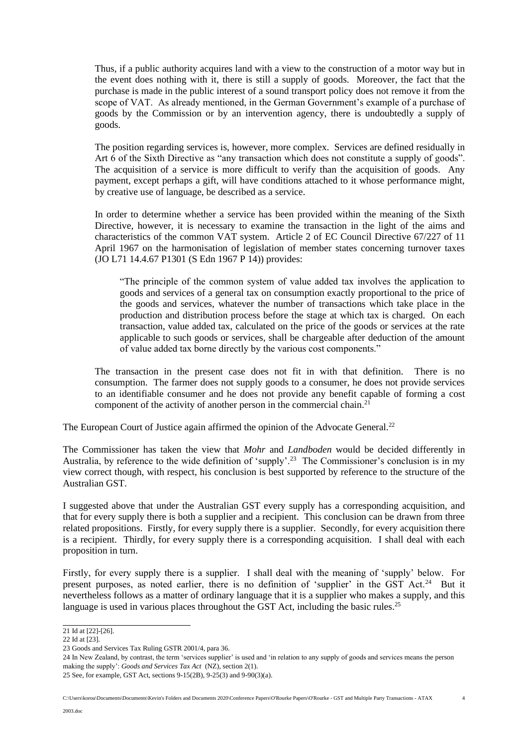Thus, if a public authority acquires land with a view to the construction of a motor way but in the event does nothing with it, there is still a supply of goods. Moreover, the fact that the purchase is made in the public interest of a sound transport policy does not remove it from the scope of VAT. As already mentioned, in the German Government's example of a purchase of goods by the Commission or by an intervention agency, there is undoubtedly a supply of goods.

The position regarding services is, however, more complex. Services are defined residually in Art 6 of the Sixth Directive as "any transaction which does not constitute a supply of goods". The acquisition of a service is more difficult to verify than the acquisition of goods. Any payment, except perhaps a gift, will have conditions attached to it whose performance might, by creative use of language, be described as a service.

In order to determine whether a service has been provided within the meaning of the Sixth Directive, however, it is necessary to examine the transaction in the light of the aims and characteristics of the common VAT system. Article 2 of EC Council Directive 67/227 of 11 April 1967 on the harmonisation of legislation of member states concerning turnover taxes (JO L71 14.4.67 P1301 (S Edn 1967 P 14)) provides:

"The principle of the common system of value added tax involves the application to goods and services of a general tax on consumption exactly proportional to the price of the goods and services, whatever the number of transactions which take place in the production and distribution process before the stage at which tax is charged. On each transaction, value added tax, calculated on the price of the goods or services at the rate applicable to such goods or services, shall be chargeable after deduction of the amount of value added tax borne directly by the various cost components."

The transaction in the present case does not fit in with that definition. There is no consumption. The farmer does not supply goods to a consumer, he does not provide services to an identifiable consumer and he does not provide any benefit capable of forming a cost component of the activity of another person in the commercial chain.<sup>21</sup>

The European Court of Justice again affirmed the opinion of the Advocate General.<sup>22</sup>

The Commissioner has taken the view that *Mohr* and *Landboden* would be decided differently in Australia, by reference to the wide definition of 'supply'.<sup>23</sup> The Commissioner's conclusion is in my view correct though, with respect, his conclusion is best supported by reference to the structure of the Australian GST.

I suggested above that under the Australian GST every supply has a corresponding acquisition, and that for every supply there is both a supplier and a recipient. This conclusion can be drawn from three related propositions. Firstly, for every supply there is a supplier. Secondly, for every acquisition there is a recipient. Thirdly, for every supply there is a corresponding acquisition. I shall deal with each proposition in turn.

Firstly, for every supply there is a supplier. I shall deal with the meaning of 'supply' below. For present purposes, as noted earlier, there is no definition of 'supplier' in the GST Act.<sup>24</sup> But it nevertheless follows as a matter of ordinary language that it is a supplier who makes a supply, and this language is used in various places throughout the GST Act, including the basic rules.<sup>25</sup>

4

<sup>21</sup> Id at [22]-[26].

<sup>22</sup> Id at [23].

<sup>23</sup> Goods and Services Tax Ruling GSTR 2001/4, para 36.

<sup>24</sup> In New Zealand, by contrast, the term 'services supplier' is used and 'in relation to any supply of goods and services means the person making the supply': *Goods and Services Tax Act* (NZ), section 2(1).

<sup>25</sup> See, for example, GST Act, sections 9-15(2B), 9-25(3) and 9-90(3)(a).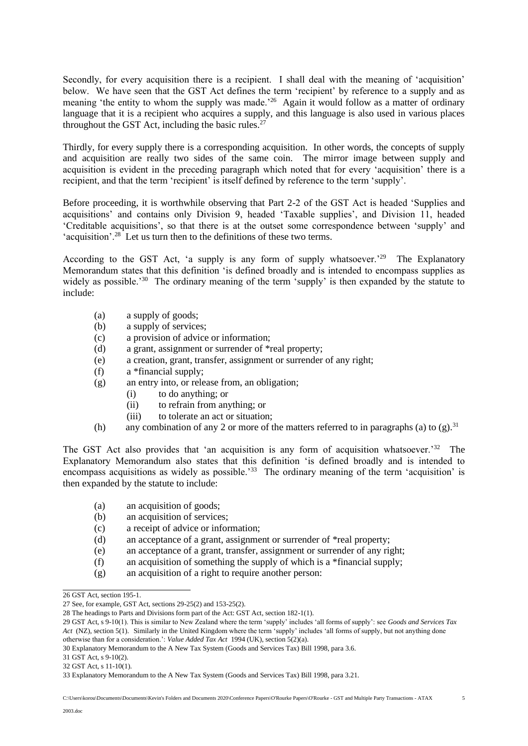Secondly, for every acquisition there is a recipient. I shall deal with the meaning of 'acquisition' below. We have seen that the GST Act defines the term 'recipient' by reference to a supply and as meaning 'the entity to whom the supply was made.<sup>26</sup> Again it would follow as a matter of ordinary language that it is a recipient who acquires a supply, and this language is also used in various places throughout the GST Act, including the basic rules. $27$ 

Thirdly, for every supply there is a corresponding acquisition. In other words, the concepts of supply and acquisition are really two sides of the same coin. The mirror image between supply and acquisition is evident in the preceding paragraph which noted that for every 'acquisition' there is a recipient, and that the term 'recipient' is itself defined by reference to the term 'supply'.

Before proceeding, it is worthwhile observing that Part 2-2 of the GST Act is headed 'Supplies and acquisitions' and contains only Division 9, headed 'Taxable supplies', and Division 11, headed 'Creditable acquisitions', so that there is at the outset some correspondence between 'supply' and 'acquisition'.<sup>28</sup> Let us turn then to the definitions of these two terms.

According to the GST Act, 'a supply is any form of supply whatsoever.<sup>29</sup> The Explanatory Memorandum states that this definition 'is defined broadly and is intended to encompass supplies as widely as possible.<sup>30</sup> The ordinary meaning of the term 'supply' is then expanded by the statute to include:

- (a) a supply of goods;
- (b) a supply of services;
- (c) a provision of advice or information;
- (d) a grant, assignment or surrender of \*real property;
- (e) a creation, grant, transfer, assignment or surrender of any right;
- (f) a \*financial supply;
- (g) an entry into, or release from, an obligation;
	- (i) to do anything; or
	- (ii) to refrain from anything; or
	- (iii) to tolerate an act or situation;
- (h) any combination of any 2 or more of the matters referred to in paragraphs (a) to  $(g)$ .<sup>31</sup>

The GST Act also provides that 'an acquisition is any form of acquisition whatsoever.<sup>32</sup> The Explanatory Memorandum also states that this definition 'is defined broadly and is intended to encompass acquisitions as widely as possible.<sup>33</sup> The ordinary meaning of the term 'acquisition' is then expanded by the statute to include:

- (a) an acquisition of goods;
- (b) an acquisition of services;
- (c) a receipt of advice or information;
- (d) an acceptance of a grant, assignment or surrender of \*real property;
- (e) an acceptance of a grant, transfer, assignment or surrender of any right;
- (f) an acquisition of something the supply of which is a \*financial supply;
- (g) an acquisition of a right to require another person:

<sup>26</sup> GST Act, section 195-1.

<sup>27</sup> See, for example, GST Act, sections 29-25(2) and 153-25(2).

<sup>28</sup> The headings to Parts and Divisions form part of the Act: GST Act, section 182-1(1).

<sup>29</sup> GST Act, s 9-10(1). This is similar to New Zealand where the term 'supply' includes 'all forms of supply': see *Goods and Services Tax Act* (NZ), section 5(1). Similarly in the United Kingdom where the term 'supply' includes 'all forms of supply, but not anything done otherwise than for a consideration.': *Value Added Tax Act* 1994 (UK), section 5(2)(a).

<sup>30</sup> Explanatory Memorandum to the A New Tax System (Goods and Services Tax) Bill 1998, para 3.6.

<sup>31</sup> GST Act, s 9-10(2).

<sup>32</sup> GST Act, s 11-10(1).

<sup>33</sup> Explanatory Memorandum to the A New Tax System (Goods and Services Tax) Bill 1998, para 3.21.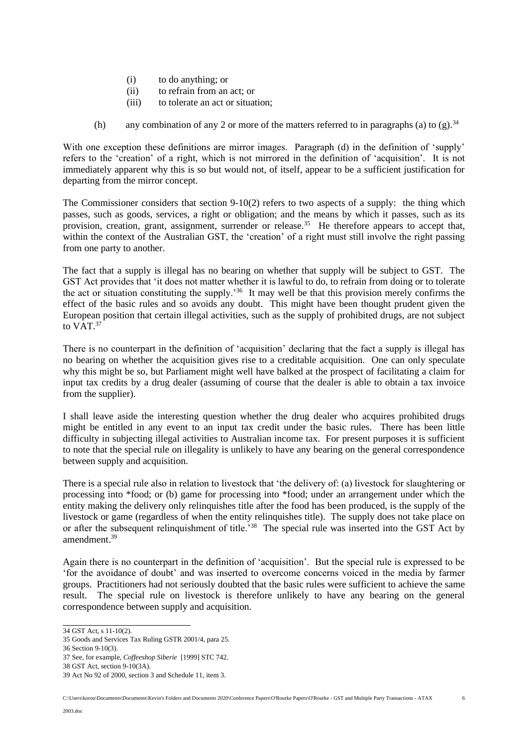- (i) to do anything; or
- (ii) to refrain from an act; or
- (iii) to tolerate an act or situation;
- (h) any combination of any 2 or more of the matters referred to in paragraphs (a) to (g).<sup>34</sup>

With one exception these definitions are mirror images. Paragraph (d) in the definition of 'supply' refers to the 'creation' of a right, which is not mirrored in the definition of 'acquisition'. It is not immediately apparent why this is so but would not, of itself, appear to be a sufficient justification for departing from the mirror concept.

The Commissioner considers that section  $9-10(2)$  refers to two aspects of a supply: the thing which passes, such as goods, services, a right or obligation; and the means by which it passes, such as its provision, creation, grant, assignment, surrender or release.<sup>35</sup> He therefore appears to accept that, within the context of the Australian GST, the 'creation' of a right must still involve the right passing from one party to another.

The fact that a supply is illegal has no bearing on whether that supply will be subject to GST. The GST Act provides that 'it does not matter whether it is lawful to do, to refrain from doing or to tolerate the act or situation constituting the supply.'<sup>36</sup> It may well be that this provision merely confirms the effect of the basic rules and so avoids any doubt. This might have been thought prudent given the European position that certain illegal activities, such as the supply of prohibited drugs, are not subject to VAT.<sup>37</sup>

There is no counterpart in the definition of 'acquisition' declaring that the fact a supply is illegal has no bearing on whether the acquisition gives rise to a creditable acquisition. One can only speculate why this might be so, but Parliament might well have balked at the prospect of facilitating a claim for input tax credits by a drug dealer (assuming of course that the dealer is able to obtain a tax invoice from the supplier).

I shall leave aside the interesting question whether the drug dealer who acquires prohibited drugs might be entitled in any event to an input tax credit under the basic rules. There has been little difficulty in subjecting illegal activities to Australian income tax. For present purposes it is sufficient to note that the special rule on illegality is unlikely to have any bearing on the general correspondence between supply and acquisition.

There is a special rule also in relation to livestock that 'the delivery of: (a) livestock for slaughtering or processing into \*food; or (b) game for processing into \*food; under an arrangement under which the entity making the delivery only relinquishes title after the food has been produced, is the supply of the livestock or game (regardless of when the entity relinquishes title). The supply does not take place on or after the subsequent relinquishment of title.<sup>38</sup> The special rule was inserted into the GST Act by amendment.<sup>39</sup>

Again there is no counterpart in the definition of 'acquisition'. But the special rule is expressed to be 'for the avoidance of doubt' and was inserted to overcome concerns voiced in the media by farmer groups. Practitioners had not seriously doubted that the basic rules were sufficient to achieve the same result. The special rule on livestock is therefore unlikely to have any bearing on the general correspondence between supply and acquisition.

<sup>34</sup> GST Act, s 11-10(2).

<sup>35</sup> Goods and Services Tax Ruling GSTR 2001/4, para 25.

<sup>36</sup> Section 9-10(3).

<sup>37</sup> See, for example, *Coffeeshop Siberie* [1999] STC 742.

<sup>38</sup> GST Act, section 9-10(3A).

<sup>39</sup> Act No 92 of 2000, section 3 and Schedule 11, item 3.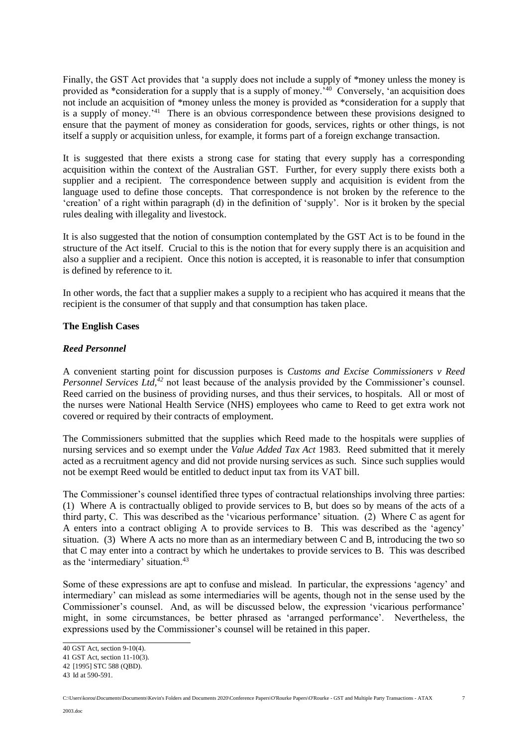Finally, the GST Act provides that 'a supply does not include a supply of \*money unless the money is provided as \*consideration for a supply that is a supply of money.<sup>140</sup> Conversely, 'an acquisition does not include an acquisition of \*money unless the money is provided as \*consideration for a supply that is a supply of money.<sup>'41</sup> There is an obvious correspondence between these provisions designed to ensure that the payment of money as consideration for goods, services, rights or other things, is not itself a supply or acquisition unless, for example, it forms part of a foreign exchange transaction.

It is suggested that there exists a strong case for stating that every supply has a corresponding acquisition within the context of the Australian GST. Further, for every supply there exists both a supplier and a recipient. The correspondence between supply and acquisition is evident from the language used to define those concepts. That correspondence is not broken by the reference to the 'creation' of a right within paragraph (d) in the definition of 'supply'. Nor is it broken by the special rules dealing with illegality and livestock.

It is also suggested that the notion of consumption contemplated by the GST Act is to be found in the structure of the Act itself. Crucial to this is the notion that for every supply there is an acquisition and also a supplier and a recipient. Once this notion is accepted, it is reasonable to infer that consumption is defined by reference to it.

In other words, the fact that a supplier makes a supply to a recipient who has acquired it means that the recipient is the consumer of that supply and that consumption has taken place.

## **The English Cases**

# *Reed Personnel*

A convenient starting point for discussion purposes is *Customs and Excise Commissioners v Reed Personnel Services Ltd*,<sup>42</sup> not least because of the analysis provided by the Commissioner's counsel. Reed carried on the business of providing nurses, and thus their services, to hospitals. All or most of the nurses were National Health Service (NHS) employees who came to Reed to get extra work not covered or required by their contracts of employment.

The Commissioners submitted that the supplies which Reed made to the hospitals were supplies of nursing services and so exempt under the *Value Added Tax Act* 1983. Reed submitted that it merely acted as a recruitment agency and did not provide nursing services as such. Since such supplies would not be exempt Reed would be entitled to deduct input tax from its VAT bill.

The Commissioner's counsel identified three types of contractual relationships involving three parties: (1) Where A is contractually obliged to provide services to B, but does so by means of the acts of a third party, C. This was described as the 'vicarious performance' situation. (2) Where C as agent for A enters into a contract obliging A to provide services to B. This was described as the 'agency' situation. (3) Where A acts no more than as an intermediary between C and B, introducing the two so that C may enter into a contract by which he undertakes to provide services to B. This was described as the 'intermediary' situation.<sup>43</sup>

Some of these expressions are apt to confuse and mislead. In particular, the expressions 'agency' and intermediary' can mislead as some intermediaries will be agents, though not in the sense used by the Commissioner's counsel. And, as will be discussed below, the expression 'vicarious performance' might, in some circumstances, be better phrased as 'arranged performance'. Nevertheless, the expressions used by the Commissioner's counsel will be retained in this paper.

<sup>40</sup> GST Act, section 9-10(4).

<sup>41</sup> GST Act, section 11-10(3).

<sup>42</sup> [1995] STC 588 (QBD).

<sup>43</sup> Id at 590-591.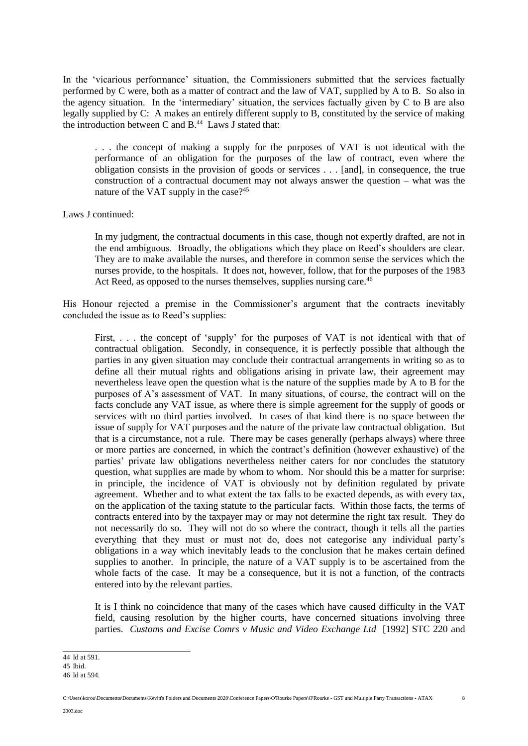In the 'vicarious performance' situation, the Commissioners submitted that the services factually performed by C were, both as a matter of contract and the law of VAT, supplied by A to B. So also in the agency situation. In the 'intermediary' situation, the services factually given by C to B are also legally supplied by C: A makes an entirely different supply to B, constituted by the service of making the introduction between C and  $B<sup>44</sup>$  Laws J stated that:

. . . the concept of making a supply for the purposes of VAT is not identical with the performance of an obligation for the purposes of the law of contract, even where the obligation consists in the provision of goods or services . . . [and], in consequence, the true construction of a contractual document may not always answer the question – what was the nature of the VAT supply in the case?<sup>45</sup>

Laws J continued:

In my judgment, the contractual documents in this case, though not expertly drafted, are not in the end ambiguous. Broadly, the obligations which they place on Reed's shoulders are clear. They are to make available the nurses, and therefore in common sense the services which the nurses provide, to the hospitals. It does not, however, follow, that for the purposes of the 1983 Act Reed, as opposed to the nurses themselves, supplies nursing care.<sup>46</sup>

His Honour rejected a premise in the Commissioner's argument that the contracts inevitably concluded the issue as to Reed's supplies:

First, . . . the concept of 'supply' for the purposes of VAT is not identical with that of contractual obligation. Secondly, in consequence, it is perfectly possible that although the parties in any given situation may conclude their contractual arrangements in writing so as to define all their mutual rights and obligations arising in private law, their agreement may nevertheless leave open the question what is the nature of the supplies made by A to B for the purposes of A's assessment of VAT. In many situations, of course, the contract will on the facts conclude any VAT issue, as where there is simple agreement for the supply of goods or services with no third parties involved. In cases of that kind there is no space between the issue of supply for VAT purposes and the nature of the private law contractual obligation. But that is a circumstance, not a rule. There may be cases generally (perhaps always) where three or more parties are concerned, in which the contract's definition (however exhaustive) of the parties' private law obligations nevertheless neither caters for nor concludes the statutory question, what supplies are made by whom to whom. Nor should this be a matter for surprise: in principle, the incidence of VAT is obviously not by definition regulated by private agreement. Whether and to what extent the tax falls to be exacted depends, as with every tax, on the application of the taxing statute to the particular facts. Within those facts, the terms of contracts entered into by the taxpayer may or may not determine the right tax result. They do not necessarily do so. They will not do so where the contract, though it tells all the parties everything that they must or must not do, does not categorise any individual party's obligations in a way which inevitably leads to the conclusion that he makes certain defined supplies to another. In principle, the nature of a VAT supply is to be ascertained from the whole facts of the case. It may be a consequence, but it is not a function, of the contracts entered into by the relevant parties.

It is I think no coincidence that many of the cases which have caused difficulty in the VAT field, causing resolution by the higher courts, have concerned situations involving three parties. *Customs and Excise Comrs v Music and Video Exchange Ltd* [1992] STC 220 and

8

<sup>44</sup> Id at 591.

<sup>45</sup> Ibid. 46 Id at 594.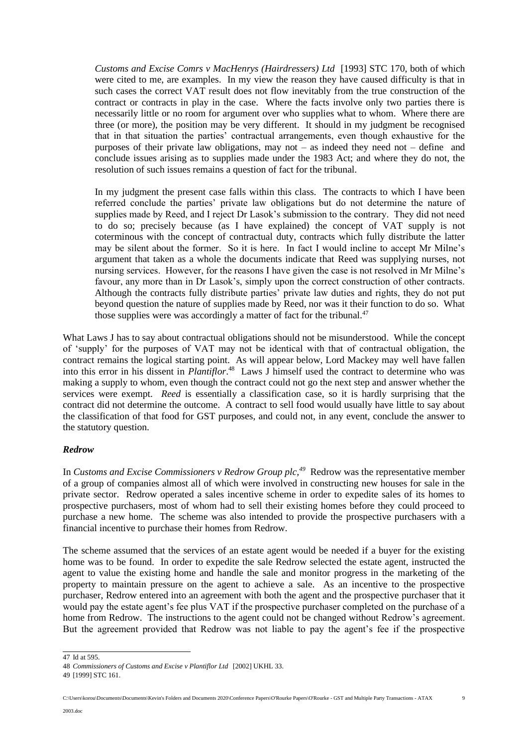*Customs and Excise Comrs v MacHenrys (Hairdressers) Ltd* [1993] STC 170, both of which were cited to me, are examples. In my view the reason they have caused difficulty is that in such cases the correct VAT result does not flow inevitably from the true construction of the contract or contracts in play in the case. Where the facts involve only two parties there is necessarily little or no room for argument over who supplies what to whom. Where there are three (or more), the position may be very different. It should in my judgment be recognised that in that situation the parties' contractual arrangements, even though exhaustive for the purposes of their private law obligations, may not – as indeed they need not – define and conclude issues arising as to supplies made under the 1983 Act; and where they do not, the resolution of such issues remains a question of fact for the tribunal.

In my judgment the present case falls within this class. The contracts to which I have been referred conclude the parties' private law obligations but do not determine the nature of supplies made by Reed, and I reject Dr Lasok's submission to the contrary. They did not need to do so; precisely because (as I have explained) the concept of VAT supply is not coterminous with the concept of contractual duty, contracts which fully distribute the latter may be silent about the former. So it is here. In fact I would incline to accept Mr Milne's argument that taken as a whole the documents indicate that Reed was supplying nurses, not nursing services. However, for the reasons I have given the case is not resolved in Mr Milne's favour, any more than in Dr Lasok's, simply upon the correct construction of other contracts. Although the contracts fully distribute parties' private law duties and rights, they do not put beyond question the nature of supplies made by Reed, nor was it their function to do so. What those supplies were was accordingly a matter of fact for the tribunal. $47$ 

What Laws J has to say about contractual obligations should not be misunderstood. While the concept of 'supply' for the purposes of VAT may not be identical with that of contractual obligation, the contract remains the logical starting point. As will appear below, Lord Mackey may well have fallen into this error in his dissent in *Plantiflor*. 48 Laws J himself used the contract to determine who was making a supply to whom, even though the contract could not go the next step and answer whether the services were exempt. *Reed* is essentially a classification case, so it is hardly surprising that the contract did not determine the outcome. A contract to sell food would usually have little to say about the classification of that food for GST purposes, and could not, in any event, conclude the answer to the statutory question.

## *Redrow*

In *Customs and Excise Commissioners v Redrow Group plc,<sup>49</sup>* Redrow was the representative member of a group of companies almost all of which were involved in constructing new houses for sale in the private sector. Redrow operated a sales incentive scheme in order to expedite sales of its homes to prospective purchasers, most of whom had to sell their existing homes before they could proceed to purchase a new home. The scheme was also intended to provide the prospective purchasers with a financial incentive to purchase their homes from Redrow.

The scheme assumed that the services of an estate agent would be needed if a buyer for the existing home was to be found. In order to expedite the sale Redrow selected the estate agent, instructed the agent to value the existing home and handle the sale and monitor progress in the marketing of the property to maintain pressure on the agent to achieve a sale. As an incentive to the prospective purchaser, Redrow entered into an agreement with both the agent and the prospective purchaser that it would pay the estate agent's fee plus VAT if the prospective purchaser completed on the purchase of a home from Redrow. The instructions to the agent could not be changed without Redrow's agreement. But the agreement provided that Redrow was not liable to pay the agent's fee if the prospective

49 [1999] STC 161.

<sup>47</sup> Id at 595.

<sup>48</sup> *Commissioners of Customs and Excise v Plantiflor Ltd* [2002] UKHL 33.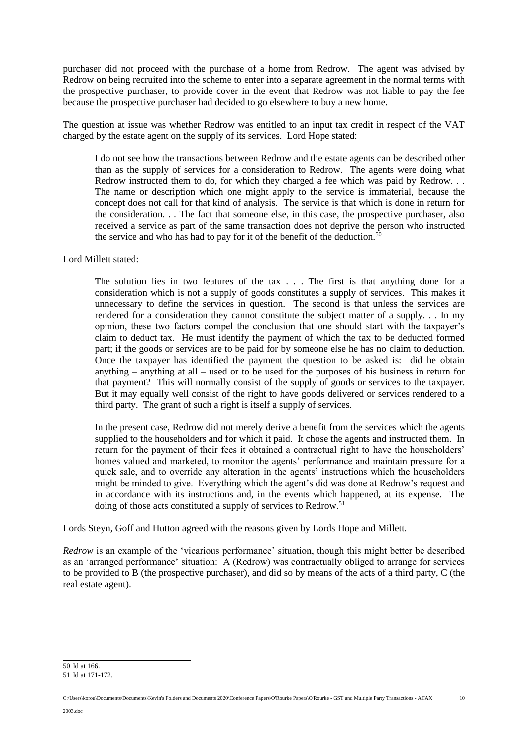purchaser did not proceed with the purchase of a home from Redrow. The agent was advised by Redrow on being recruited into the scheme to enter into a separate agreement in the normal terms with the prospective purchaser, to provide cover in the event that Redrow was not liable to pay the fee because the prospective purchaser had decided to go elsewhere to buy a new home.

The question at issue was whether Redrow was entitled to an input tax credit in respect of the VAT charged by the estate agent on the supply of its services. Lord Hope stated:

I do not see how the transactions between Redrow and the estate agents can be described other than as the supply of services for a consideration to Redrow. The agents were doing what Redrow instructed them to do, for which they charged a fee which was paid by Redrow. . . The name or description which one might apply to the service is immaterial, because the concept does not call for that kind of analysis. The service is that which is done in return for the consideration. . . The fact that someone else, in this case, the prospective purchaser, also received a service as part of the same transaction does not deprive the person who instructed the service and who has had to pay for it of the benefit of the deduction.<sup>50</sup>

#### Lord Millett stated:

The solution lies in two features of the tax . . . The first is that anything done for a consideration which is not a supply of goods constitutes a supply of services. This makes it unnecessary to define the services in question. The second is that unless the services are rendered for a consideration they cannot constitute the subject matter of a supply. . . In my opinion, these two factors compel the conclusion that one should start with the taxpayer's claim to deduct tax. He must identify the payment of which the tax to be deducted formed part; if the goods or services are to be paid for by someone else he has no claim to deduction. Once the taxpayer has identified the payment the question to be asked is: did he obtain anything – anything at all – used or to be used for the purposes of his business in return for that payment? This will normally consist of the supply of goods or services to the taxpayer. But it may equally well consist of the right to have goods delivered or services rendered to a third party. The grant of such a right is itself a supply of services.

In the present case, Redrow did not merely derive a benefit from the services which the agents supplied to the householders and for which it paid. It chose the agents and instructed them. In return for the payment of their fees it obtained a contractual right to have the householders' homes valued and marketed, to monitor the agents' performance and maintain pressure for a quick sale, and to override any alteration in the agents' instructions which the householders might be minded to give. Everything which the agent's did was done at Redrow's request and in accordance with its instructions and, in the events which happened, at its expense. The doing of those acts constituted a supply of services to Redrow.<sup>51</sup>

Lords Steyn, Goff and Hutton agreed with the reasons given by Lords Hope and Millett.

*Redrow* is an example of the 'vicarious performance' situation, though this might better be described as an 'arranged performance' situation: A (Redrow) was contractually obliged to arrange for services to be provided to B (the prospective purchaser), and did so by means of the acts of a third party, C (the real estate agent).

<sup>50</sup> Id at 166. 51 Id at 171-172.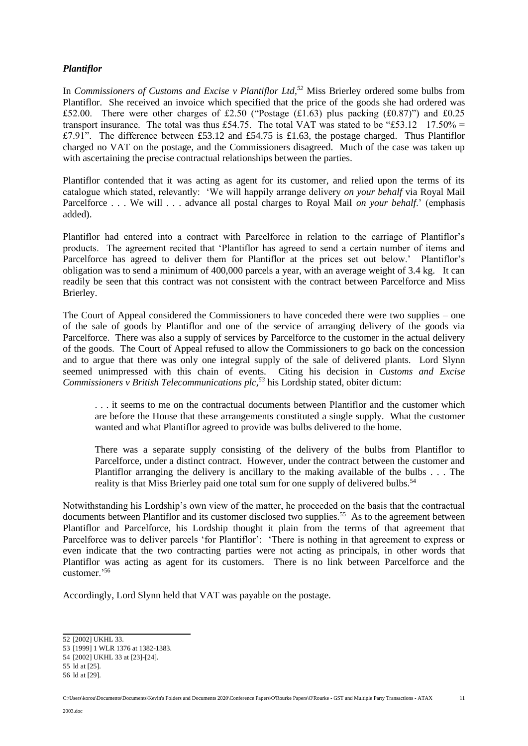## *Plantiflor*

In *Commissioners of Customs and Excise v Plantiflor Ltd,<sup>52</sup>* Miss Brierley ordered some bulbs from Plantiflor. She received an invoice which specified that the price of the goods she had ordered was £52.00. There were other charges of £2.50 ("Postage ( $\pounds$ 1.63) plus packing ( $\pounds$ 0.87)") and  $\pounds$ 0.25 transport insurance. The total was thus £54.75. The total VAT was stated to be "£53.12 17.50% = £7.91". The difference between £53.12 and £54.75 is £1.63, the postage charged. Thus Plantiflor charged no VAT on the postage, and the Commissioners disagreed. Much of the case was taken up with ascertaining the precise contractual relationships between the parties.

Plantiflor contended that it was acting as agent for its customer, and relied upon the terms of its catalogue which stated, relevantly: 'We will happily arrange delivery *on your behalf* via Royal Mail Parcelforce . . . We will . . . advance all postal charges to Royal Mail *on your behalf*.' (emphasis added).

Plantiflor had entered into a contract with Parcelforce in relation to the carriage of Plantiflor's products. The agreement recited that 'Plantiflor has agreed to send a certain number of items and Parcelforce has agreed to deliver them for Plantiflor at the prices set out below.' Plantiflor's obligation was to send a minimum of 400,000 parcels a year, with an average weight of 3.4 kg. It can readily be seen that this contract was not consistent with the contract between Parcelforce and Miss Brierley.

The Court of Appeal considered the Commissioners to have conceded there were two supplies – one of the sale of goods by Plantiflor and one of the service of arranging delivery of the goods via Parcelforce. There was also a supply of services by Parcelforce to the customer in the actual delivery of the goods. The Court of Appeal refused to allow the Commissioners to go back on the concession and to argue that there was only one integral supply of the sale of delivered plants. Lord Slynn seemed unimpressed with this chain of events. Citing his decision in *Customs and Excise Commissioners v British Telecommunications plc,<sup>53</sup>* his Lordship stated, obiter dictum:

. . . it seems to me on the contractual documents between Plantiflor and the customer which are before the House that these arrangements constituted a single supply. What the customer wanted and what Plantiflor agreed to provide was bulbs delivered to the home.

There was a separate supply consisting of the delivery of the bulbs from Plantiflor to Parcelforce, under a distinct contract. However, under the contract between the customer and Plantiflor arranging the delivery is ancillary to the making available of the bulbs . . . The reality is that Miss Brierley paid one total sum for one supply of delivered bulbs.<sup>54</sup>

Notwithstanding his Lordship's own view of the matter, he proceeded on the basis that the contractual documents between Plantiflor and its customer disclosed two supplies.<sup>55</sup> As to the agreement between Plantiflor and Parcelforce, his Lordship thought it plain from the terms of that agreement that Parcelforce was to deliver parcels 'for Plantiflor': 'There is nothing in that agreement to express or even indicate that the two contracting parties were not acting as principals, in other words that Plantiflor was acting as agent for its customers. There is no link between Parcelforce and the customer.'<sup>56</sup>

Accordingly, Lord Slynn held that VAT was payable on the postage.

<sup>52</sup> [2002] UKHL 33.

<sup>53</sup> [1999] 1 WLR 1376 at 1382-1383.

<sup>54</sup> [2002] UKHL 33 at [23]-[24].

<sup>55</sup> Id at [25]. 56 Id at [29].

C:\Users\korou\Documents\Documents\Kevin's Folders and Documents 2020\Conference Papers\O'Rourke Papers\O'Rourke - GST and Multiple Party Transactions - ATAX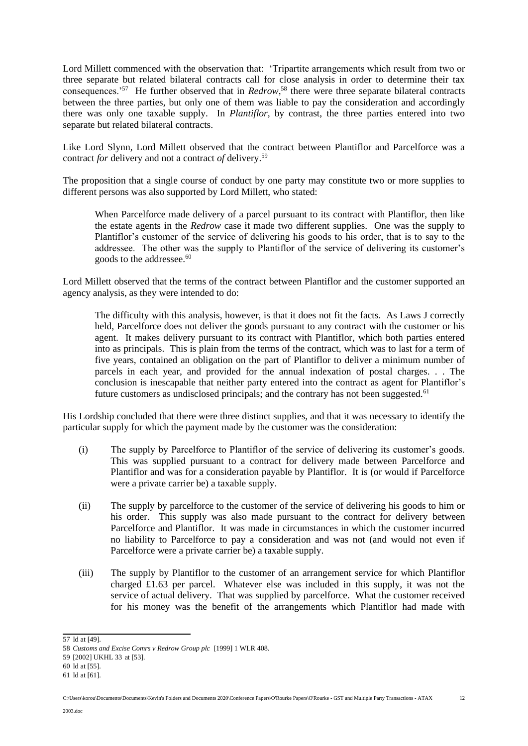Lord Millett commenced with the observation that: 'Tripartite arrangements which result from two or three separate but related bilateral contracts call for close analysis in order to determine their tax consequences.'<sup>57</sup> He further observed that in *Redrow*, <sup>58</sup> there were three separate bilateral contracts between the three parties, but only one of them was liable to pay the consideration and accordingly there was only one taxable supply. In *Plantiflor,* by contrast, the three parties entered into two separate but related bilateral contracts.

Like Lord Slynn, Lord Millett observed that the contract between Plantiflor and Parcelforce was a contract *for* delivery and not a contract *of* delivery.<sup>59</sup>

The proposition that a single course of conduct by one party may constitute two or more supplies to different persons was also supported by Lord Millett, who stated:

When Parcelforce made delivery of a parcel pursuant to its contract with Plantiflor, then like the estate agents in the *Redrow* case it made two different supplies. One was the supply to Plantiflor's customer of the service of delivering his goods to his order, that is to say to the addressee. The other was the supply to Plantiflor of the service of delivering its customer's goods to the addressee.<sup>60</sup>

Lord Millett observed that the terms of the contract between Plantiflor and the customer supported an agency analysis, as they were intended to do:

The difficulty with this analysis, however, is that it does not fit the facts. As Laws J correctly held, Parcelforce does not deliver the goods pursuant to any contract with the customer or his agent. It makes delivery pursuant to its contract with Plantiflor, which both parties entered into as principals. This is plain from the terms of the contract, which was to last for a term of five years, contained an obligation on the part of Plantiflor to deliver a minimum number of parcels in each year, and provided for the annual indexation of postal charges. . . The conclusion is inescapable that neither party entered into the contract as agent for Plantiflor's future customers as undisclosed principals; and the contrary has not been suggested.<sup>61</sup>

His Lordship concluded that there were three distinct supplies, and that it was necessary to identify the particular supply for which the payment made by the customer was the consideration:

- (i) The supply by Parcelforce to Plantiflor of the service of delivering its customer's goods. This was supplied pursuant to a contract for delivery made between Parcelforce and Plantiflor and was for a consideration payable by Plantiflor. It is (or would if Parcelforce were a private carrier be) a taxable supply.
- (ii) The supply by parcelforce to the customer of the service of delivering his goods to him or his order. This supply was also made pursuant to the contract for delivery between Parcelforce and Plantiflor. It was made in circumstances in which the customer incurred no liability to Parcelforce to pay a consideration and was not (and would not even if Parcelforce were a private carrier be) a taxable supply.
- (iii) The supply by Plantiflor to the customer of an arrangement service for which Plantiflor charged £1.63 per parcel. Whatever else was included in this supply, it was not the service of actual delivery. That was supplied by parcelforce. What the customer received for his money was the benefit of the arrangements which Plantiflor had made with

<sup>57</sup> Id at [49].

<sup>58</sup> *Customs and Excise Comrs v Redrow Group plc* [1999] 1 WLR 408.

<sup>59</sup> [2002] UKHL 33 at [53].

<sup>60</sup> Id at [55].

<sup>61</sup> Id at [61].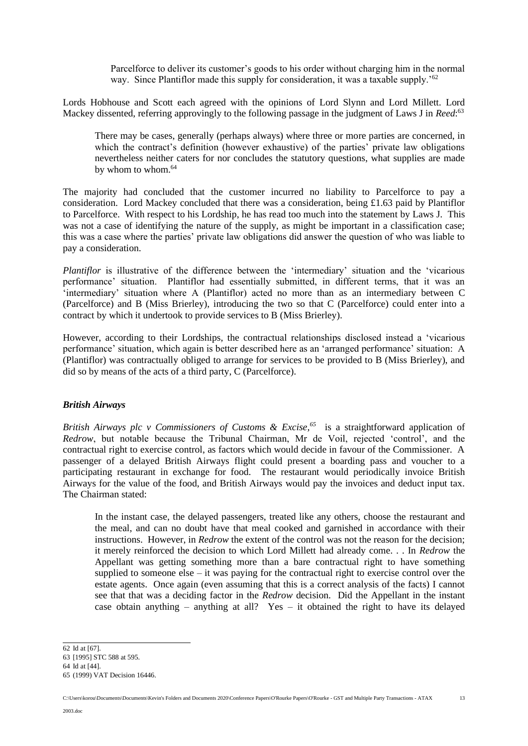Parcelforce to deliver its customer's goods to his order without charging him in the normal way. Since Plantiflor made this supply for consideration, it was a taxable supply.<sup>'62</sup>

Lords Hobhouse and Scott each agreed with the opinions of Lord Slynn and Lord Millett. Lord Mackey dissented, referring approvingly to the following passage in the judgment of Laws J in *Reed*: 63

There may be cases, generally (perhaps always) where three or more parties are concerned, in which the contract's definition (however exhaustive) of the parties' private law obligations nevertheless neither caters for nor concludes the statutory questions, what supplies are made by whom to whom.<sup>64</sup>

The majority had concluded that the customer incurred no liability to Parcelforce to pay a consideration. Lord Mackey concluded that there was a consideration, being £1.63 paid by Plantiflor to Parcelforce. With respect to his Lordship, he has read too much into the statement by Laws J. This was not a case of identifying the nature of the supply, as might be important in a classification case; this was a case where the parties' private law obligations did answer the question of who was liable to pay a consideration.

*Plantiflor* is illustrative of the difference between the 'intermediary' situation and the 'vicarious' performance' situation. Plantiflor had essentially submitted, in different terms, that it was an 'intermediary' situation where A (Plantiflor) acted no more than as an intermediary between C (Parcelforce) and B (Miss Brierley), introducing the two so that C (Parcelforce) could enter into a contract by which it undertook to provide services to B (Miss Brierley).

However, according to their Lordships, the contractual relationships disclosed instead a 'vicarious performance' situation, which again is better described here as an 'arranged performance' situation: A (Plantiflor) was contractually obliged to arrange for services to be provided to B (Miss Brierley), and did so by means of the acts of a third party, C (Parcelforce).

## *British Airways*

*British Airways plc v Commissioners of Customs & Excise,<sup>65</sup>* is a straightforward application of *Redrow*, but notable because the Tribunal Chairman, Mr de Voil, rejected 'control', and the contractual right to exercise control, as factors which would decide in favour of the Commissioner. A passenger of a delayed British Airways flight could present a boarding pass and voucher to a participating restaurant in exchange for food. The restaurant would periodically invoice British Airways for the value of the food, and British Airways would pay the invoices and deduct input tax. The Chairman stated:

In the instant case, the delayed passengers, treated like any others, choose the restaurant and the meal, and can no doubt have that meal cooked and garnished in accordance with their instructions. However, in *Redrow* the extent of the control was not the reason for the decision; it merely reinforced the decision to which Lord Millett had already come. . . In *Redrow* the Appellant was getting something more than a bare contractual right to have something supplied to someone else  $-$  it was paying for the contractual right to exercise control over the estate agents. Once again (even assuming that this is a correct analysis of the facts) I cannot see that that was a deciding factor in the *Redrow* decision. Did the Appellant in the instant case obtain anything – anything at all? Yes – it obtained the right to have its delayed

<sup>62</sup> Id at [67].

<sup>63</sup> [1995] STC 588 at 595.

<sup>64</sup> Id at [44].

<sup>65</sup> (1999) VAT Decision 16446.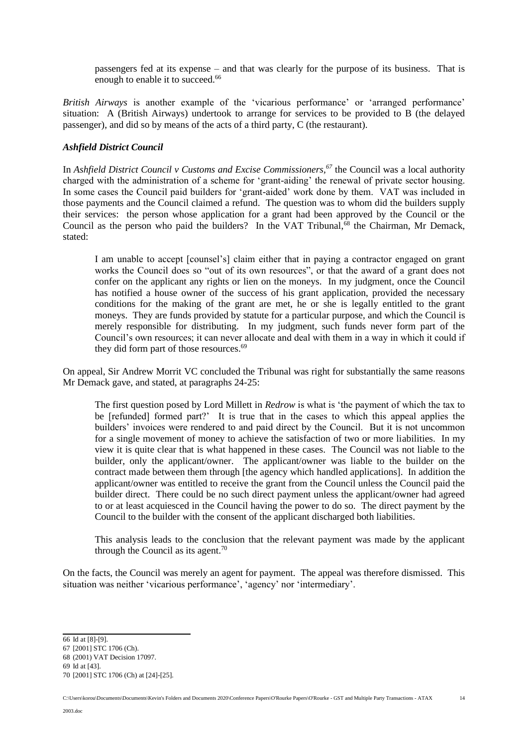passengers fed at its expense – and that was clearly for the purpose of its business. That is enough to enable it to succeed.<sup>66</sup>

*British Airways* is another example of the 'vicarious performance' or 'arranged performance' situation: A (British Airways) undertook to arrange for services to be provided to B (the delayed passenger), and did so by means of the acts of a third party, C (the restaurant).

# *Ashfield District Council*

In *Ashfield District Council v Customs and Excise Commissioners,<sup>67</sup>* the Council was a local authority charged with the administration of a scheme for 'grant-aiding' the renewal of private sector housing. In some cases the Council paid builders for 'grant-aided' work done by them. VAT was included in those payments and the Council claimed a refund. The question was to whom did the builders supply their services: the person whose application for a grant had been approved by the Council or the Council as the person who paid the builders? In the VAT Tribunal,<sup>68</sup> the Chairman, Mr Demack, stated:

I am unable to accept [counsel's] claim either that in paying a contractor engaged on grant works the Council does so "out of its own resources", or that the award of a grant does not confer on the applicant any rights or lien on the moneys. In my judgment, once the Council has notified a house owner of the success of his grant application, provided the necessary conditions for the making of the grant are met, he or she is legally entitled to the grant moneys. They are funds provided by statute for a particular purpose, and which the Council is merely responsible for distributing. In my judgment, such funds never form part of the Council's own resources; it can never allocate and deal with them in a way in which it could if they did form part of those resources.<sup>69</sup>

On appeal, Sir Andrew Morrit VC concluded the Tribunal was right for substantially the same reasons Mr Demack gave, and stated, at paragraphs 24-25:

The first question posed by Lord Millett in *Redrow* is what is 'the payment of which the tax to be [refunded] formed part?' It is true that in the cases to which this appeal applies the builders' invoices were rendered to and paid direct by the Council. But it is not uncommon for a single movement of money to achieve the satisfaction of two or more liabilities. In my view it is quite clear that is what happened in these cases. The Council was not liable to the builder, only the applicant/owner. The applicant/owner was liable to the builder on the contract made between them through [the agency which handled applications]. In addition the applicant/owner was entitled to receive the grant from the Council unless the Council paid the builder direct. There could be no such direct payment unless the applicant/owner had agreed to or at least acquiesced in the Council having the power to do so. The direct payment by the Council to the builder with the consent of the applicant discharged both liabilities.

This analysis leads to the conclusion that the relevant payment was made by the applicant through the Council as its agent.<sup>70</sup>

On the facts, the Council was merely an agent for payment. The appeal was therefore dismissed. This situation was neither 'vicarious performance', 'agency' nor 'intermediary'.

<sup>66</sup> Id at [8]-[9].

<sup>67</sup> [2001] STC 1706 (Ch).

<sup>68</sup> (2001) VAT Decision 17097.

<sup>69</sup> Id at [43].

<sup>70</sup> [2001] STC 1706 (Ch) at [24]-[25].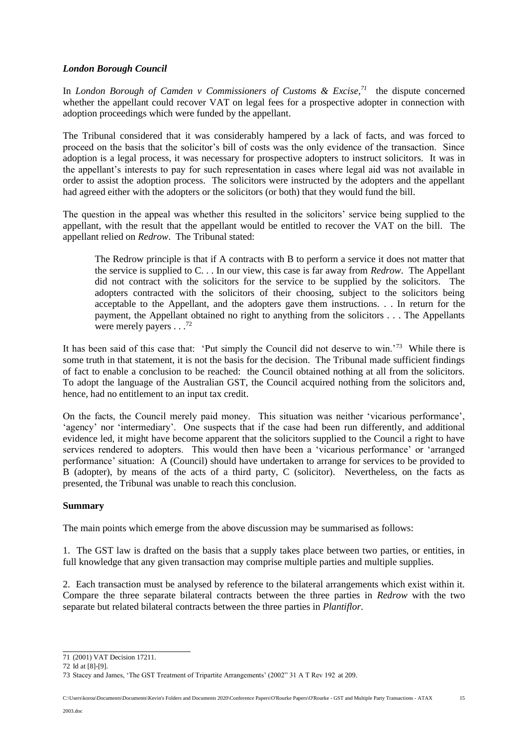# *London Borough Council*

In *London Borough of Camden v Commissioners of Customs & Excise,<sup>71</sup>* the dispute concerned whether the appellant could recover VAT on legal fees for a prospective adopter in connection with adoption proceedings which were funded by the appellant.

The Tribunal considered that it was considerably hampered by a lack of facts, and was forced to proceed on the basis that the solicitor's bill of costs was the only evidence of the transaction. Since adoption is a legal process, it was necessary for prospective adopters to instruct solicitors. It was in the appellant's interests to pay for such representation in cases where legal aid was not available in order to assist the adoption process. The solicitors were instructed by the adopters and the appellant had agreed either with the adopters or the solicitors (or both) that they would fund the bill.

The question in the appeal was whether this resulted in the solicitors' service being supplied to the appellant, with the result that the appellant would be entitled to recover the VAT on the bill. The appellant relied on *Redrow*. The Tribunal stated:

The Redrow principle is that if A contracts with B to perform a service it does not matter that the service is supplied to C. . . In our view, this case is far away from *Redrow*. The Appellant did not contract with the solicitors for the service to be supplied by the solicitors. The adopters contracted with the solicitors of their choosing, subject to the solicitors being acceptable to the Appellant, and the adopters gave them instructions. . . In return for the payment, the Appellant obtained no right to anything from the solicitors . . . The Appellants were merely payers . . .<sup>72</sup>

It has been said of this case that: 'Put simply the Council did not deserve to win.'<sup>73</sup> While there is some truth in that statement, it is not the basis for the decision. The Tribunal made sufficient findings of fact to enable a conclusion to be reached: the Council obtained nothing at all from the solicitors. To adopt the language of the Australian GST, the Council acquired nothing from the solicitors and, hence, had no entitlement to an input tax credit.

On the facts, the Council merely paid money. This situation was neither 'vicarious performance', 'agency' nor 'intermediary'. One suspects that if the case had been run differently, and additional evidence led, it might have become apparent that the solicitors supplied to the Council a right to have services rendered to adopters. This would then have been a 'vicarious performance' or 'arranged performance' situation: A (Council) should have undertaken to arrange for services to be provided to B (adopter), by means of the acts of a third party, C (solicitor). Nevertheless, on the facts as presented, the Tribunal was unable to reach this conclusion.

## **Summary**

The main points which emerge from the above discussion may be summarised as follows:

1. The GST law is drafted on the basis that a supply takes place between two parties, or entities, in full knowledge that any given transaction may comprise multiple parties and multiple supplies.

2. Each transaction must be analysed by reference to the bilateral arrangements which exist within it. Compare the three separate bilateral contracts between the three parties in *Redrow* with the two separate but related bilateral contracts between the three parties in *Plantiflor*.

<sup>71</sup> (2001) VAT Decision 17211.

<sup>72</sup> Id at [8]-[9].

<sup>73</sup> Stacey and James, 'The GST Treatment of Tripartite Arrangements' (2002" 31 A T Rev 192 at 209.